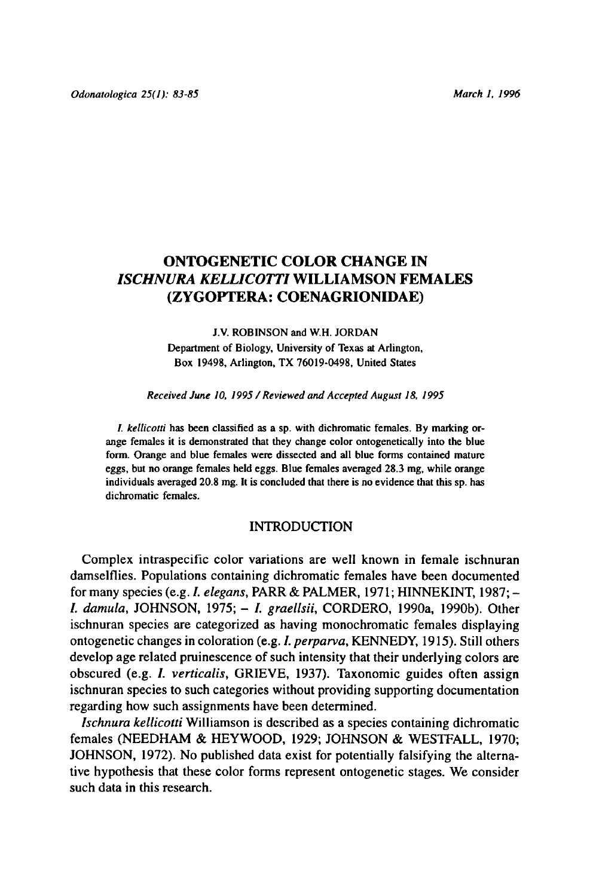## ONTOGENETIC COLOR CHANGE IN Ischnura kellicotti Williamson females (Zygoptera: Coenagrionidae)

# J.V. Robinson and W.H. Jordan

Department of Biology, University of Texas at Arlington, Box 19498, Arlington, TX 76019-0498, United States

#### Received June 10, <sup>1995</sup> / Reviewed and Accepted August 18, <sup>1995</sup>

I. kellicotti has been classified as <sup>a</sup> sp. with dichromatic females. By marking orange females it is demonstrated that they change color ontogenetically into the blue form. Orange and blue females were dissected and all blue forms contained mature eggs, but no orange females held eggs. Blue females averaged 28.3 mg, while orange individuals averaged 20.8 mg. It is concluded that there is no evidence that this sp. has dichromatic females.

#### INTRODUCTION

Complex intraspecific color variations are well known in female ischnuran damselflies. Populations containing dichromatic females have been documented for many species (e.g. I. elegans, PARR & PALMER, 1971; HINNEKINT, 1987;- I. damula, JOHNSON, 1975; - I. graellsii, CORDERO, 1990a, 1990b). Other ischnuran species are categorized as having monochromatic females displaying ontogenetic changes in coloration (e.g. I. perparva, KENNEDY, 1915). Still others develop age related pruinescence of such intensity that their underlying colors are obscured (e.g. I. verticalis, GRIEVE, 1937). Taxonomic guides often assign ischnuran species to such categories without providing supporting documentation regarding how such assignments have been determined.

Ischnura kellicotti Williamson is described as <sup>a</sup> species containing dichromatic females (NEEDHAM & HEYWOOD, 1929; JOHNSON & WESTFALL, 1970; JOHNSON, 1972). No published data exist for potentially falsifying the alternative hypothesis that these color forms represent ontogenetic stages. We consider such data in this research.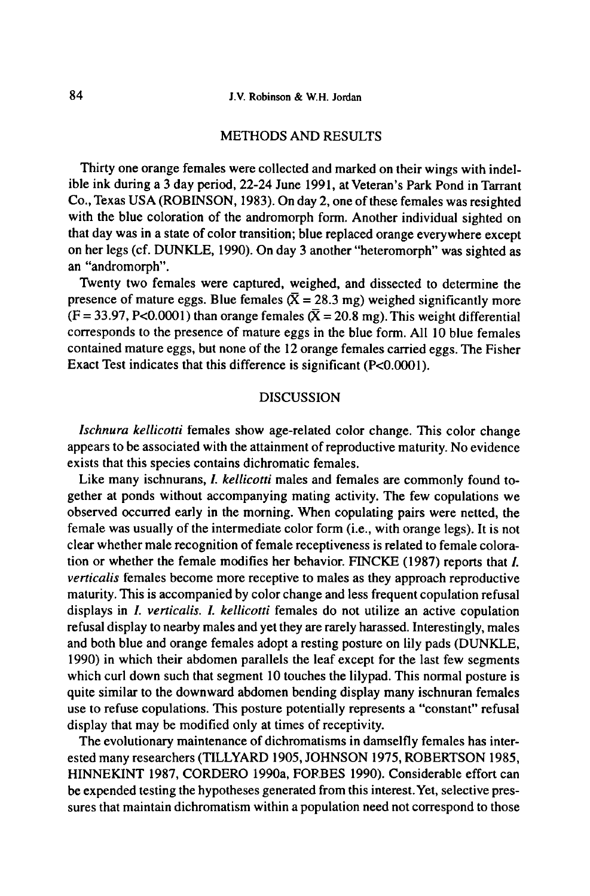### METHODS AND RESULTS

Thirty one orange females were collected and marked on their wings with indelible ink during a 3 day period, 22-24 June 1991, at Veteran's Park Pond in Tarrant Co., Texas USA (ROBINSON, 1983). On day 2, one of these females was resighted with the blue coloration of the andromorph form. Another individual sighted on that day was in <sup>a</sup> state of color transition; blue replaced orange everywhere except on her legs (cf. DUNKLE, 1990). On day <sup>3</sup> another "heteromorph" was sighted as an "andromorph".

Twenty two females were captured, weighed, and dissected to determine the presence of mature eggs. Blue females  $(\overline{X} = 28.3 \text{ mg})$  weighed significantly more  $(F = 33.97, P < 0.0001)$  than orange females  $(\bar{X} = 20.8 \text{ mg})$ . This weight differential corresponds to the presence of mature eggs in the blue form. All <sup>10</sup> blue females contained mature eggs, but none of the 12 orange females carried eggs. The Fisher Exact Test indicates that this difference is significant (PcO.OOOl).

#### DISCUSSION

Ischnura kellicotti females show age-related color change. This color change appears to be associated with the attainment of reproductive maturity. No evidence exists that this species contains dichromatic females.

Like many ischnurans, *I. kellicotti* males and females are commonly found together at ponds without accompanying mating activity. The few copulations we observed occurred early in the morning. When copulating pairs were netted, the female was usually of the intermediate color form (i.e., with orange legs). It is not clear whether male recognition of female receptiveness is related to female coloration or whether the female modifies her behavior. FINCKE (1987) reports that *I*. verticalis females become more receptive to males as they approach reproductive maturity. This is accompanied by color change and less frequent copulation refusal displays in I. verticalis. I. kellicotti females do not utilize an active copulation refusal display to nearby males and yet they are rarely harassed. Interestingly, males and both blue and orange females adopt <sup>a</sup> resting posture on lily pads (DUNKLE, 1990) in which their abdomen parallels the leaf except forthe last few segments which curl down such that segment 10 touches the lilypad. This normal posture is quite similar to the downward abdomen bending display many ischnuran females use to refuse copulations. This posture potentially represents <sup>a</sup> "constant" refusal display that may be modified only at times of receptivity.

The evolutionary maintenance of dichromatisms in damselfly females has interested many researchers (TILLYARD 1905, JOHNSON 1975, ROBERTSON 1985, HINNEKINT 1987, CORDERO 1990a, FORBES 1990). Considerable effort can be expended testing the hypotheses generated fromthis interest.Yet, selective pressures that maintain dichromatismwithina population need not correspond to those